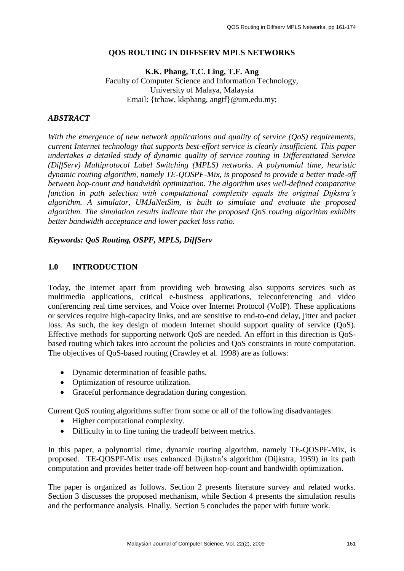#### **QOS ROUTING IN DIFFSERV MPLS NETWORKS**

**K.K. Phang, T.C. Ling, T.F. Ang** Faculty of Computer Science and Information Technology, University of Malaya, Malaysia Email: {tchaw, kkphang, angtf}@um.edu.my;

#### *ABSTRACT*

*With the emergence of new network applications and quality of service (QoS) requirements, current Internet technology that supports best-effort service is clearly insufficient. This paper undertakes a detailed study of dynamic quality of service routing in Differentiated Service (DiffServ) Multiprotocol Label Switching (MPLS) networks. A polynomial time, heuristic dynamic routing algorithm, namely TE-QOSPF-Mix, is proposed to provide a better trade-off between hop-count and bandwidth optimization. The algorithm uses well-defined comparative function in path selection with computational complexity equals the original Dijkstra's algorithm. A simulator, UMJaNetSim, is built to simulate and evaluate the proposed algorithm. The simulation results indicate that the proposed QoS routing algorithm exhibits better bandwidth acceptance and lower packet loss ratio.* 

*Keywords: QoS Routing, OSPF, MPLS, DiffServ*

#### **1.0 INTRODUCTION**

Today, the Internet apart from providing web browsing also supports services such as multimedia applications, critical e-business applications, teleconferencing and video conferencing real time services, and Voice over Internet Protocol (VoIP). These applications or services require high-capacity links, and are sensitive to end-to-end delay, jitter and packet loss. As such, the key design of modern Internet should support quality of service (OoS). Effective methods for supporting network QoS are needed. An effort in this direction is QoSbased routing which takes into account the policies and QoS constraints in route computation. The objectives of QoS-based routing (Crawley et al. 1998) are as follows:

- Dynamic determination of feasible paths.
- Optimization of resource utilization.
- Graceful performance degradation during congestion.

Current QoS routing algorithms suffer from some or all of the following disadvantages:

- Higher computational complexity.
- Difficulty in to fine tuning the tradeoff between metrics.

In this paper, a polynomial time, dynamic routing algorithm, namely TE-QOSPF-Mix, is proposed. TE-QOSPF-Mix uses enhanced Dijkstra's algorithm (Dijkstra, 1959) in its path computation and provides better trade-off between hop-count and bandwidth optimization.

The paper is organized as follows. Section 2 presents literature survey and related works. Section 3 discusses the proposed mechanism, while Section 4 presents the simulation results and the performance analysis. Finally, Section 5 concludes the paper with future work.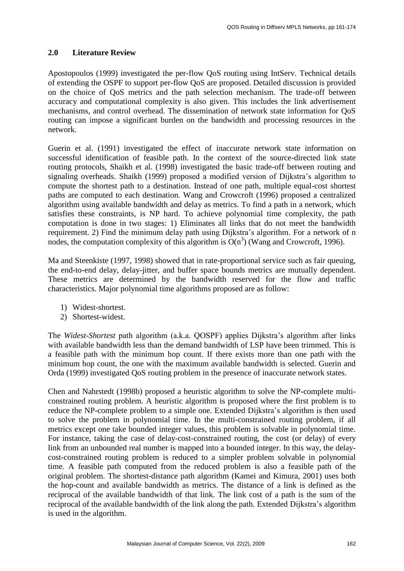### **2.0 Literature Review**

Apostopoulos (1999) investigated the per-flow QoS routing using IntServ. Technical details of extending the OSPF to support per-flow QoS are proposed. Detailed discussion is provided on the choice of QoS metrics and the path selection mechanism. The trade-off between accuracy and computational complexity is also given. This includes the link advertisement mechanisms, and control overhead. The dissemination of network state information for QoS routing can impose a significant burden on the bandwidth and processing resources in the network.

Guerin et al. (1991) investigated the effect of inaccurate network state information on successful identification of feasible path. In the context of the source-directed link state routing protocols, Shaikh et al. (1998) investigated the basic trade-off between routing and signaling overheads. Shaikh (1999) proposed a modified version of Dijkstra's algorithm to compute the shortest path to a destination. Instead of one path, multiple equal-cost shortest paths are computed to each destination. Wang and Crowcroft (1996) proposed a centralized algorithm using available bandwidth and delay as metrics. To find a path in a network, which satisfies these constraints, is NP hard. To achieve polynomial time complexity, the path computation is done in two stages: 1) Eliminates all links that do not meet the bandwidth requirement. 2) Find the minimum delay path using Dijkstra's algorithm. For a network of n nodes, the computation complexity of this algorithm is  $O(n^3)$  (Wang and Crowcroft, 1996).

Ma and Steenkiste (1997, 1998) showed that in rate-proportional service such as fair queuing, the end-to-end delay, delay-jitter, and buffer space bounds metrics are mutually dependent. These metrics are determined by the bandwidth reserved for the flow and traffic characteristics. Major polynomial time algorithms proposed are as follow:

- 1) Widest-shortest.
- 2) Shortest-widest.

The *Widest-Shortest* path algorithm (a.k.a. QOSPF) applies Dijkstra's algorithm after links with available bandwidth less than the demand bandwidth of LSP have been trimmed. This is a feasible path with the minimum hop count. If there exists more than one path with the minimum hop count, the one with the maximum available bandwidth is selected. Guerin and Orda (1999) investigated QoS routing problem in the presence of inaccurate network states.

Chen and Nahrstedt (1998b) proposed a heuristic algorithm to solve the NP-complete multiconstrained routing problem. A heuristic algorithm is proposed where the first problem is to reduce the NP-complete problem to a simple one. Extended Dijkstra's algorithm is then used to solve the problem in polynomial time. In the multi-constrained routing problem, if all metrics except one take bounded integer values, this problem is solvable in polynomial time. For instance, taking the case of delay-cost-constrained routing, the cost (or delay) of every link from an unbounded real number is mapped into a bounded integer. In this way, the delaycost-constrained routing problem is reduced to a simpler problem solvable in polynomial time. A feasible path computed from the reduced problem is also a feasible path of the original problem. The shortest-distance path algorithm (Kamei and Kimura, 2001) uses both the hop-count and available bandwidth as metrics. The distance of a link is defined as the reciprocal of the available bandwidth of that link. The link cost of a path is the sum of the reciprocal of the available bandwidth of the link along the path. Extended Dijkstra's algorithm is used in the algorithm.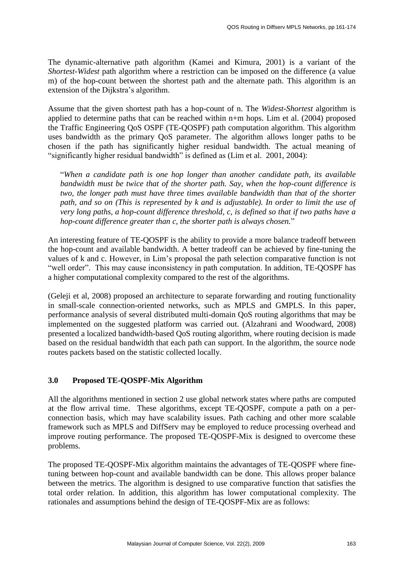The dynamic-alternative path algorithm (Kamei and Kimura, 2001) is a variant of the *Shortest-Widest* path algorithm where a restriction can be imposed on the difference (a value m) of the hop-count between the shortest path and the alternate path. This algorithm is an extension of the Dijkstra's algorithm.

Assume that the given shortest path has a hop-count of n. The *Widest-Shortest* algorithm is applied to determine paths that can be reached within n+m hops. Lim et al. (2004) proposed the Traffic Engineering QoS OSPF (TE-QOSPF) path computation algorithm. This algorithm uses bandwidth as the primary QoS parameter. The algorithm allows longer paths to be chosen if the path has significantly higher residual bandwidth. The actual meaning of "significantly higher residual bandwidth" is defined as (Lim et al. 2001, 2004):

"*When a candidate path is one hop longer than another candidate path, its available bandwidth must be twice that of the shorter path. Say, when the hop-count difference is two, the longer path must have three times available bandwidth than that of the shorter path, and so on (This is represented by k and is adjustable). In order to limit the use of very long paths, a hop-count difference threshold, c, is defined so that if two paths have a hop-count difference greater than c, the shorter path is always chosen.*"

An interesting feature of TE-QOSPF is the ability to provide a more balance tradeoff between the hop-count and available bandwidth. A better tradeoff can be achieved by fine-tuning the values of k and c. However, in Lim's proposal the path selection comparative function is not "well order". This may cause inconsistency in path computation. In addition, TE-QOSPF has a higher computational complexity compared to the rest of the algorithms.

(Geleji et al, 2008) proposed an architecture to separate forwarding and routing functionality in small-scale connection-oriented networks, such as MPLS and GMPLS. In this paper, performance analysis of several distributed multi-domain QoS routing algorithms that may be implemented on the suggested platform was carried out. (Alzahrani and Woodward, 2008) presented a localized bandwidth-based QoS routing algorithm, where routing decision is made based on the residual bandwidth that each path can support. In the algorithm, the source node routes packets based on the statistic collected locally.

## **3.0 Proposed TE-QOSPF-Mix Algorithm**

All the algorithms mentioned in section 2 use global network states where paths are computed at the flow arrival time. These algorithms, except TE-QOSPF, compute a path on a perconnection basis, which may have scalability issues. Path caching and other more scalable framework such as MPLS and DiffServ may be employed to reduce processing overhead and improve routing performance. The proposed TE-QOSPF-Mix is designed to overcome these problems.

The proposed TE-QOSPF-Mix algorithm maintains the advantages of TE-QOSPF where finetuning between hop-count and available bandwidth can be done. This allows proper balance between the metrics. The algorithm is designed to use comparative function that satisfies the total order relation. In addition, this algorithm has lower computational complexity. The rationales and assumptions behind the design of TE-QOSPF-Mix are as follows: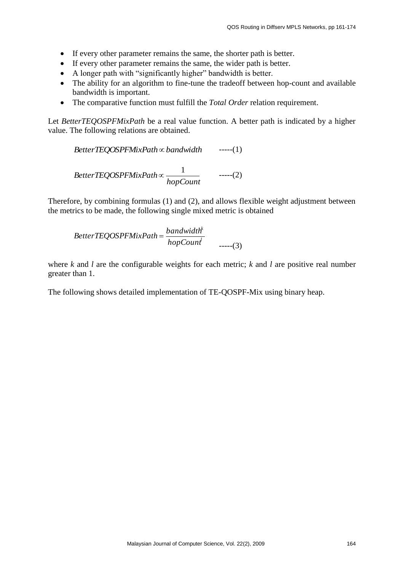- If every other parameter remains the same, the shorter path is better.
- If every other parameter remains the same, the wider path is better.
- A longer path with "significantly higher" bandwidth is better.
- The ability for an algorithm to fine-tune the tradeoff between hop-count and available bandwidth is important.
- The comparative function must fulfill the *Total Order* relation requirement.

Let *BetterTEQOSPFMixPath* be a real value function. A better path is indicated by a higher value. The following relations are obtained.

$$
BetterTEQOSPFMixPath \propto bandwidth
$$
 ----(1)  

$$
BetterTEQOSPFMixPath \propto \frac{1}{hopCount}
$$
 ----(2)

Therefore, by combining formulas (1) and (2), and allows flexible weight adjustment between the metrics to be made, the following single mixed metric is obtained

$$
BetterTEQOSPFMixPath = \frac{bandwidth^{k}}{hopCount}
$$
  
-----(3)

where *k* and *l* are the configurable weights for each metric; *k* and *l* are positive real number greater than 1.

The following shows detailed implementation of TE-QOSPF-Mix using binary heap.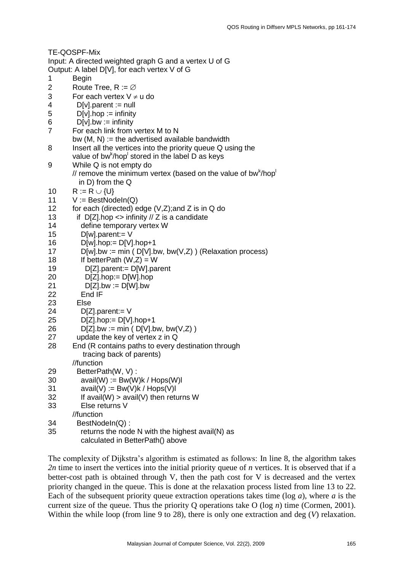|                | TE-QOSPF-Mix                                                                          |
|----------------|---------------------------------------------------------------------------------------|
|                | Input: A directed weighted graph G and a vertex U of G                                |
|                | Output: A label D[V], for each vertex V of G                                          |
| 1              | <b>Begin</b>                                                                          |
| 2              | Route Tree, $R := \emptyset$                                                          |
| 3              | For each vertex $V \neq u$ do                                                         |
| 4              | $D[v]$ . parent : = null                                                              |
| 5              | $D[v]$ .hop := infinity                                                               |
| 6              | $D[v].bw := infinity$                                                                 |
| $\overline{7}$ | For each link from vertex M to N                                                      |
|                | bw $(M, N) :=$ the advertised available bandwidth                                     |
| 8              | Insert all the vertices into the priority queue Q using the                           |
|                | value of bw <sup>k</sup> /hop stored in the label D as keys                           |
| 9              | While Q is not empty do                                                               |
|                | // remove the minimum vertex (based on the value of bw <sup>k</sup> /hop <sup>1</sup> |
|                | in D) from the Q                                                                      |
| 10             | $R := R \cup \{U\}$                                                                   |
| 11             | $V := BestNodeIn(Q)$                                                                  |
| 12             | for each (directed) edge (V,Z); and Z is in Q do                                      |
| 13             | if $D[Z]$ .hop $\lt$ infinity // Z is a candidate                                     |
| 14             | define temporary vertex W                                                             |
| 15             | $D[w]$ .parent:= $V$                                                                  |
| 16             | $D[w].hop := D[V].hop+1$                                                              |
| 17             | $D[w].bw := min (D[V].bw, bw(V,Z))$ (Relaxation process)                              |
| 18             | If betterPath $(W,Z) = W$                                                             |
| 19             | D[Z].parent:= D[W].parent                                                             |
| 20             | $D[Z].$ hop:= $D[W].$ hop                                                             |
| 21             | $D[Z].bw := D[W].bw$                                                                  |
| 22             | End IF                                                                                |
| 23             | Else                                                                                  |
| 24             | $D[Z]$ .parent:= $V$                                                                  |
| 25             | $D[Z].$ hop:= $D[V].$ hop+1                                                           |
| 26             | $D[Z].bw := min ( D[V].bw, bw(V,Z) )$                                                 |
| 27             | update the key of vertex z in Q                                                       |
| 28             | End (R contains paths to every destination through                                    |
|                | tracing back of parents)                                                              |
|                | //function                                                                            |
| 29             | BetterPath(W, V):                                                                     |
| 30             | $avail(W) := Bw(W)k / Hops(W)l$                                                       |
| 31             | $avail(V) := Bw(V)k / Hops(V)l$                                                       |
| 32             | If avail(W) $>$ avail(V) then returns W                                               |
| 33             | Else returns V                                                                        |
|                | //function                                                                            |
| 34             | BestNodeIn(Q):                                                                        |
| 35             | returns the node N with the highest avail(N) as                                       |
|                | calculated in BetterPath() above                                                      |

The complexity of Dijkstra's algorithm is estimated as follows: In line 8, the algorithm takes *2n* time to insert the vertices into the initial priority queue of *n* vertices. It is observed that if a better-cost path is obtained through V, then the path cost for V is decreased and the vertex priority changed in the queue. This is done at the relaxation process listed from line 13 to 22. Each of the subsequent priority queue extraction operations takes time (log *a*), where *a* is the current size of the queue. Thus the priority Q operations take O (log *n*) time (Cormen, 2001). Within the while loop (from line 9 to 28), there is only one extraction and deg (*V*) relaxation.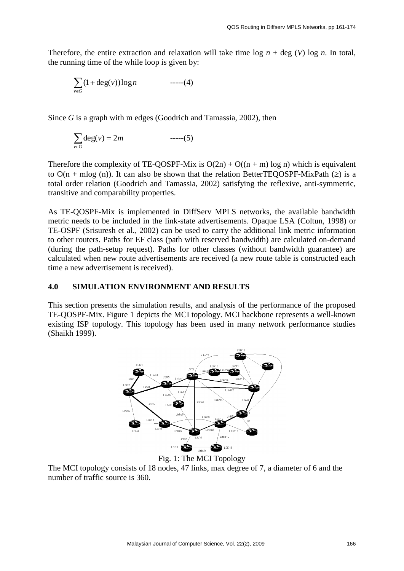Therefore, the entire extraction and relaxation will take time  $\log n + \deg (V) \log n$ . In total, the running time of the while loop is given by:

$$
\sum_{v \in G} (1 + \deg(v)) \log n \qquad \qquad \text{---}(4)
$$

Since *G* is a graph with m edges (Goodrich and Tamassia, 2002), then

$$
\sum_{v \in G} \deg(v) = 2m \qquad \qquad \text{---}(5)
$$

Therefore the complexity of TE-QOSPF-Mix is  $O(2n) + O((n + m) \log n)$  which is equivalent to  $O(n + m \log(n))$ . It can also be shown that the relation BetterTEQOSPF-MixPath ( $\geq$ ) is a total order relation (Goodrich and Tamassia, 2002) satisfying the reflexive, anti-symmetric, transitive and comparability properties.

As TE-QOSPF-Mix is implemented in DiffServ MPLS networks, the available bandwidth metric needs to be included in the link-state advertisements. Opaque LSA (Coltun, 1998) or TE-OSPF (Srisuresh et al., 2002) can be used to carry the additional link metric information to other routers. Paths for EF class (path with reserved bandwidth) are calculated on-demand (during the path-setup request). Paths for other classes (without bandwidth guarantee) are calculated when new route advertisements are received (a new route table is constructed each time a new advertisement is received).

#### **4.0 SIMULATION ENVIRONMENT AND RESULTS**

This section presents the simulation results, and analysis of the performance of the proposed TE-QOSPF-Mix. Figure 1 depicts the MCI topology. MCI backbone represents a well-known existing ISP topology. This topology has been used in many network performance studies (Shaikh 1999).



#### Fig. 1: The MCI Topology

The MCI topology consists of 18 nodes, 47 links, max degree of 7, a diameter of 6 and the number of traffic source is 360.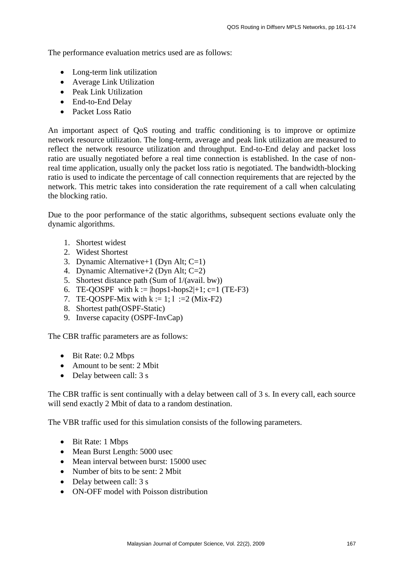The performance evaluation metrics used are as follows:

- Long-term link utilization
- Average Link Utilization
- Peak Link Utilization
- End-to-End Delay
- Packet Loss Ratio

An important aspect of QoS routing and traffic conditioning is to improve or optimize network resource utilization. The long-term, average and peak link utilization are measured to reflect the network resource utilization and throughput. End-to-End delay and packet loss ratio are usually negotiated before a real time connection is established. In the case of nonreal time application, usually only the packet loss ratio is negotiated. The bandwidth-blocking ratio is used to indicate the percentage of call connection requirements that are rejected by the network. This metric takes into consideration the rate requirement of a call when calculating the blocking ratio.

Due to the poor performance of the static algorithms, subsequent sections evaluate only the dynamic algorithms.

- 1. Shortest widest
- 2. Widest Shortest
- 3. Dynamic Alternative+1 (Dyn Alt; C=1)
- 4. Dynamic Alternative+2 (Dyn Alt; C=2)
- 5. Shortest distance path (Sum of 1/(avail. bw))
- 6. TE-QOSPF with  $k := |hops1-hops2|+1$ ; c=1 (TE-F3)
- 7. TE-QOSPF-Mix with  $k := 1; 1 := 2$  (Mix-F2)
- 8. Shortest path(OSPF-Static)
- 9. Inverse capacity (OSPF-InvCap)

The CBR traffic parameters are as follows:

- Bit Rate: 0.2 Mbps
- Amount to be sent: 2 Mbit
- Delay between call: 3 s

The CBR traffic is sent continually with a delay between call of 3 s. In every call, each source will send exactly 2 Mbit of data to a random destination.

The VBR traffic used for this simulation consists of the following parameters.

- Bit Rate: 1 Mbps
- Mean Burst Length: 5000 usec
- Mean interval between burst: 15000 usec
- Number of bits to be sent: 2 Mbit
- Delay between call: 3 s
- ON-OFF model with Poisson distribution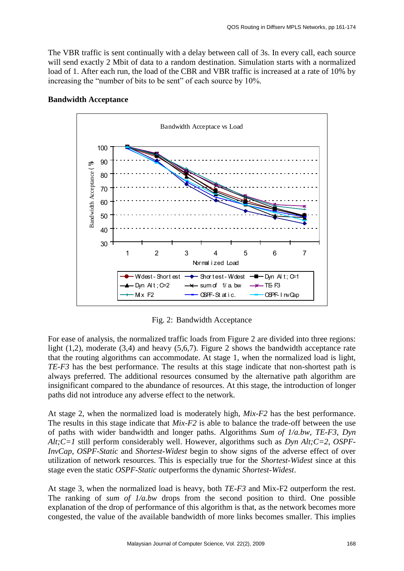The VBR traffic is sent continually with a delay between call of 3s. In every call, each source will send exactly 2 Mbit of data to a random destination. Simulation starts with a normalized load of 1. After each run, the load of the CBR and VBR traffic is increased at a rate of 10% by increasing the "number of bits to be sent" of each source by 10%.



## **Bandwidth Acceptance**

Fig. 2: Bandwidth Acceptance

For ease of analysis, the normalized traffic loads from Figure 2 are divided into three regions: light (1,2), moderate (3,4) and heavy (5,6,7). Figure 2 shows the bandwidth acceptance rate that the routing algorithms can accommodate. At stage 1, when the normalized load is light, *TE-F3* has the best performance. The results at this stage indicate that non-shortest path is always preferred. The additional resources consumed by the alternative path algorithm are insignificant compared to the abundance of resources. At this stage, the introduction of longer paths did not introduce any adverse effect to the network.

At stage 2, when the normalized load is moderately high, *Mix-F2* has the best performance. The results in this stage indicate that *Mix-F2* is able to balance the trade-off between the use of paths with wider bandwidth and longer paths. Algorithms *Sum of 1/a.bw*, *TE-F3*, *Dyn Alt;C=1* still perform considerably well. However, algorithms such as *Dyn Alt;C=2*, *OSPF-InvCap*, *OSPF-Static* and *Shortest-Widest* begin to show signs of the adverse effect of over utilization of network resources. This is especially true for the *Shortest-Widest* since at this stage even the static *OSPF-Static* outperforms the dynamic *Shortest-Widest*.

At stage 3, when the normalized load is heavy, both *TE-F3* and Mix-F2 outperform the rest. The ranking of *sum of 1/a.bw* drops from the second position to third. One possible explanation of the drop of performance of this algorithm is that, as the network becomes more congested, the value of the available bandwidth of more links becomes smaller. This implies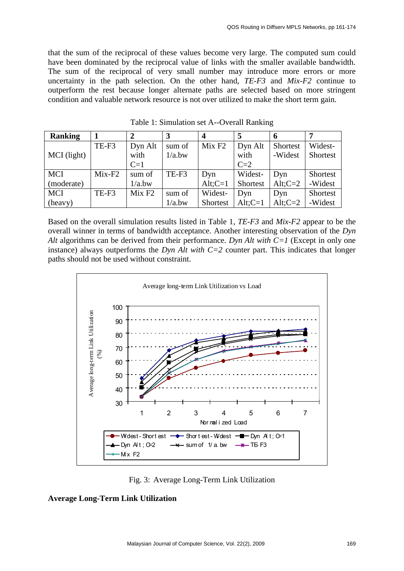that the sum of the reciprocal of these values become very large. The computed sum could have been dominated by the reciprocal value of links with the smaller available bandwidth. The sum of the reciprocal of very small number may introduce more errors or more uncertainty in the path selection. On the other hand, *TE-F3* and *Mix-F2* continue to outperform the rest because longer alternate paths are selected based on more stringent condition and valuable network resource is not over utilized to make the short term gain.

| <b>Ranking</b> |          |                    |        |                    |            | 6          |                 |
|----------------|----------|--------------------|--------|--------------------|------------|------------|-----------------|
|                | TE-F3    | Dyn Alt            | sum of | Mix F <sub>2</sub> | Dyn Alt    | Shortest   | Widest-         |
| MCI (light)    |          | with               | 1/a.bw |                    | with       | -Widest    | <b>Shortest</b> |
|                |          | $C=1$              |        |                    | $C=2$      |            |                 |
| <b>MCI</b>     | $Mix-F2$ | sum of             | TE-F3  | Dyn                | Widest-    | Dyn        | Shortest        |
| (moderate)     |          | 1/a.bw             |        | $Alt; C=1$         | Shortest   | Alt; $C=2$ | -Widest         |
| <b>MCI</b>     | TE-F3    | Mix F <sub>2</sub> | sum of | Widest-            | Dyn        | Dyn        | Shortest        |
| (heavy)        |          |                    | 1/a.bw | Shortest           | $Alt; C=1$ | Alt; $C=2$ | -Widest         |

Table 1: Simulation set A--Overall Ranking

Based on the overall simulation results listed in Table 1, *TE-F3* and *Mix-F2* appear to be the overall winner in terms of bandwidth acceptance. Another interesting observation of the *Dyn Alt* algorithms can be derived from their performance. *Dyn Alt with C=1* (Except in only one instance) always outperforms the *Dyn Alt with*  $C=2$  counter part. This indicates that longer paths should not be used without constraint.



Fig. 3: Average Long-Term Link Utilization

#### **Average Long-Term Link Utilization**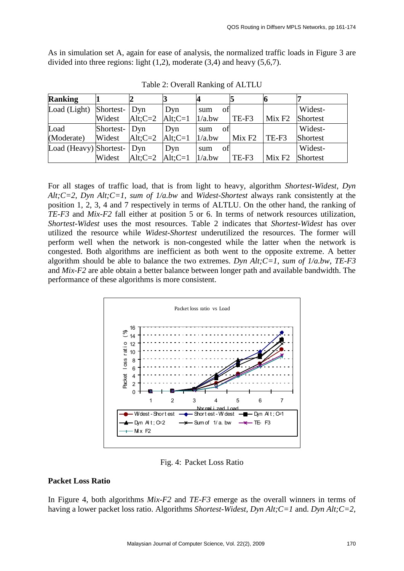As in simulation set A, again for ease of analysis, the normalized traffic loads in Figure 3 are divided into three regions: light  $(1,2)$ , moderate  $(3,4)$  and heavy  $(5,6,7)$ .

| <b>Ranking</b>             |                 |                                                                 |     |           |                    |                    |                 |
|----------------------------|-----------------|-----------------------------------------------------------------|-----|-----------|--------------------|--------------------|-----------------|
| Load (Light) Shortest- Dyn |                 |                                                                 | Dyn | οf<br>sum |                    |                    | Widest-         |
|                            | Widest          | $\text{Alt:} C = 2 \quad \text{Alt:} C = 1 \quad \text{1/a.bw}$ |     |           | TE-F3              | Mix F <sub>2</sub> | <b>Shortest</b> |
| Load                       | Shortest-   Dyn |                                                                 | Dyn | οť<br>sum |                    |                    | Widest-         |
| (Moderate)                 | Widest          | Alt: $C=2$ Alt: $C=1$   1/a.bw                                  |     |           | Mix F <sub>2</sub> | $TE-F3$            | <b>Shortest</b> |
| Load (Heavy) Shortest- Dyn |                 |                                                                 | Dyn | of<br>sum |                    |                    | Widest-         |
|                            | Widest          | Alt;C=2 $\vert$ Alt;C=1 $\vert$ 1/a.bw                          |     |           | TE-F3              | Mix F <sub>2</sub> | <b>Shortest</b> |

Table 2: Overall Ranking of ALTLU

For all stages of traffic load, that is from light to heavy, algorithm *Shortest-Widest*, *Dyn Alt;C=2*, *Dyn Alt;C=1*, *sum of 1/a.bw* and *Widest-Shortest* always rank consistently at the position 1, 2, 3, 4 and 7 respectively in terms of ALTLU. On the other hand, the ranking of *TE-F3* and *Mix-F2* fall either at position 5 or 6. In terms of network resources utilization, *Shortest-Widest* uses the most resources. Table 2 indicates that *Shortest-Widest* has over utilized the resource while *Widest-Shortest* underutilized the resources. The former will perform well when the network is non-congested while the latter when the network is congested. Both algorithms are inefficient as both went to the opposite extreme. A better algorithm should be able to balance the two extremes. *Dyn Alt;C=1*, *sum of 1/a.bw*, *TE-F3* and *Mix-F2* are able obtain a better balance between longer path and available bandwidth. The performance of these algorithms is more consistent.



Fig. 4: Packet Loss Ratio

#### **Packet Loss Ratio**

In Figure 4, both algorithms *Mix-F2* and *TE-F3* emerge as the overall winners in terms of having a lower packet loss ratio. Algorithms *Shortest-Widest*, *Dyn Alt;C=1* and. *Dyn Alt;C=2*,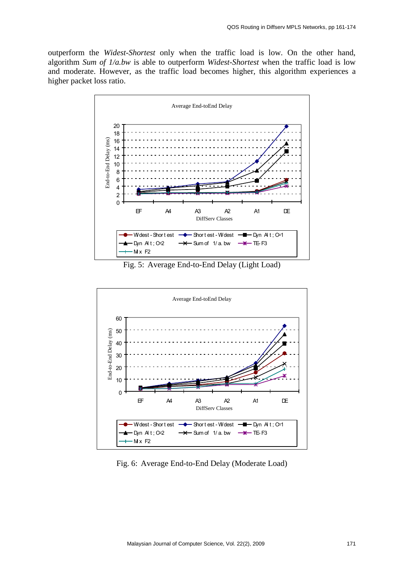outperform the *Widest-Shortest* only when the traffic load is low. On the other hand, algorithm *Sum of 1/a.bw* is able to outperform *Widest-Shortest* when the traffic load is low and moderate. However, as the traffic load becomes higher, this algorithm experiences a higher packet loss ratio.



Fig. 5: Average End-to-End Delay (Light Load)



Fig. 6: Average End-to-End Delay (Moderate Load)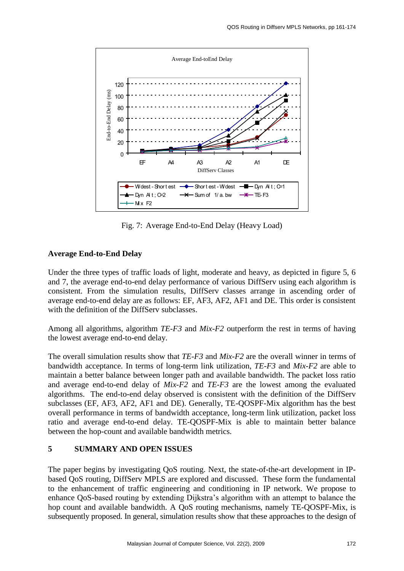

Fig. 7: Average End-to-End Delay (Heavy Load)

# **Average End-to-End Delay**

Under the three types of traffic loads of light, moderate and heavy, as depicted in figure 5, 6 and 7, the average end-to-end delay performance of various DiffServ using each algorithm is consistent. From the simulation results, DiffServ classes arrange in ascending order of average end-to-end delay are as follows: EF, AF3, AF2, AF1 and DE. This order is consistent with the definition of the DiffServ subclasses.

Among all algorithms, algorithm *TE-F3* and *Mix-F2* outperform the rest in terms of having the lowest average end-to-end delay.

The overall simulation results show that *TE-F3* and *Mix-F2* are the overall winner in terms of bandwidth acceptance. In terms of long-term link utilization, *TE-F3* and *Mix-F2* are able to maintain a better balance between longer path and available bandwidth. The packet loss ratio and average end-to-end delay of *Mix-F2* and *TE-F3* are the lowest among the evaluated algorithms. The end-to-end delay observed is consistent with the definition of the DiffServ subclasses (EF, AF3, AF2, AF1 and DE). Generally, TE-QOSPF-Mix algorithm has the best overall performance in terms of bandwidth acceptance, long-term link utilization, packet loss ratio and average end-to-end delay. TE-QOSPF-Mix is able to maintain better balance between the hop-count and available bandwidth metrics.

## **5 SUMMARY AND OPEN ISSUES**

The paper begins by investigating QoS routing. Next, the state-of-the-art development in IPbased QoS routing, DiffServ MPLS are explored and discussed. These form the fundamental to the enhancement of traffic engineering and conditioning in IP network. We propose to enhance QoS-based routing by extending Dijkstra's algorithm with an attempt to balance the hop count and available bandwidth. A QoS routing mechanisms, namely TE-QOSPF-Mix, is subsequently proposed. In general, simulation results show that these approaches to the design of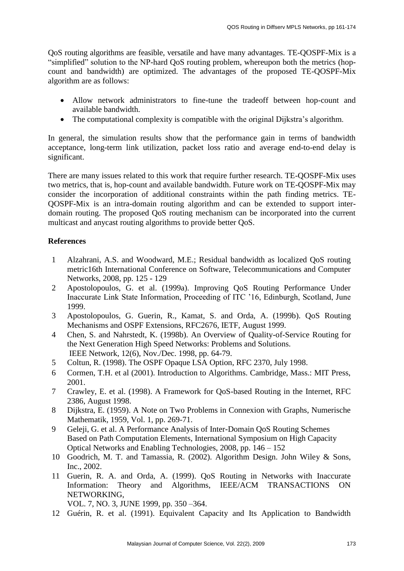QoS routing algorithms are feasible, versatile and have many advantages. TE-QOSPF-Mix is a "simplified" solution to the NP-hard QoS routing problem, whereupon both the metrics (hopcount and bandwidth) are optimized. The advantages of the proposed TE-QOSPF-Mix algorithm are as follows:

- Allow network administrators to fine-tune the tradeoff between hop-count and available bandwidth.
- The computational complexity is compatible with the original Dijkstra's algorithm.

In general, the simulation results show that the performance gain in terms of bandwidth acceptance, long-term link utilization, packet loss ratio and average end-to-end delay is significant.

There are many issues related to this work that require further research. TE-QOSPF-Mix uses two metrics, that is, hop-count and available bandwidth. Future work on TE-QOSPF-Mix may consider the incorporation of additional constraints within the path finding metrics. TE-QOSPF-Mix is an intra-domain routing algorithm and can be extended to support interdomain routing. The proposed QoS routing mechanism can be incorporated into the current multicast and anycast routing algorithms to provide better QoS.

## **References**

- 1 Alzahrani, A.S. and Woodward, M.E.; Residual bandwidth as localized QoS routing metric16th International Conference on Software, Telecommunications and Computer Networks, 2008, pp. 125 - 129
- 2 Apostolopoulos, G. et al. (1999a). Improving QoS Routing Performance Under Inaccurate Link State Information, Proceeding of ITC '16, Edinburgh, Scotland, June 1999.
- 3 Apostolopoulos, G. Guerin, R., Kamat, S. and Orda, A. (1999b). QoS Routing Mechanisms and OSPF Extensions, RFC2676, IETF, August 1999.
- 4 Chen, S. and Nahrstedt, K. (1998b). An Overview of Quality-of-Service Routing for the Next Generation High Speed Networks: Problems and Solutions. IEEE Network, 12(6), Nov./Dec. 1998, pp. 64-79.
- 5 Coltun, R. (1998). The OSPF Opaque LSA Option, RFC 2370, July 1998.
- 6 Cormen, T.H. et al (2001). Introduction to Algorithms. Cambridge, Mass.: MIT Press, 2001.
- 7 Crawley, E. et al. (1998). A Framework for QoS-based Routing in the Internet, RFC 2386, August 1998.
- 8 Dijkstra, E. (1959). A Note on Two Problems in Connexion with Graphs, Numerische Mathematik, 1959, Vol. 1, pp. 269-71.
- 9 Geleji, G. et al. A Performance Analysis of Inter-Domain QoS Routing Schemes Based on Path Computation Elements, [International Symposium on](http://ieeexplore.ieee.org/xpl/RecentCon.jsp?punumber=4805631) High Capacity Optical Networks and Enabling Technologies, 2008, pp. 146 – 152
- 10 Goodrich, M. T. and Tamassia, R. (2002). Algorithm Design. John Wiley & Sons, Inc., 2002.
- 11 Guerin, R. A. and Orda, A. (1999). QoS Routing in Networks with Inaccurate Information: Theory and Algorithms, IEEE/ACM TRANSACTIONS ON NETWORKING,
	- VOL. 7, NO. 3, JUNE 1999, pp. 350 –364.
- 12 Guérin, R. et al. (1991). Equivalent Capacity and Its Application to Bandwidth